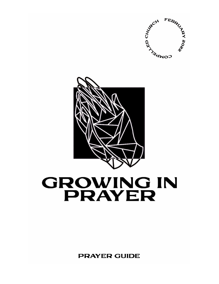



# **GROWING IN PRAYER**

**PRAYER GUIDE**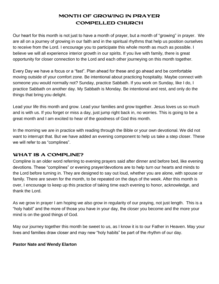## MONTH OF GROWING IN PRAYER COMPELLED CHURCH

Our heart for this month is not just to have a month of prayer, but a month of "growing" in prayer. We are all on a journey of growing in our faith and in the spiritual rhythms that help us position ourselves to receive from the Lord. I encourage you to participate this whole month as much as possible. I believe we will all experience interior growth in our spirits. If you live with family, there is great opportunity for closer connection to the Lord and each other journeying on this month together.

Every Day we have a focus or a "fast". Plan ahead for these and go ahead and be comfortable moving outside of your comfort zone. Be intentional about practicing hospitality. Maybe connect with someone you would normally not? Sunday, practice Sabbath. If you work on Sunday, like I do, I practice Sabbath on another day. My Sabbath is Monday. Be intentional and rest, and only do the things that bring you delight.

Lead your life this month and grow. Lead your families and grow together. Jesus loves us so much and is with us. If you forget or miss a day, just jump right back in, no worries. This is going to be a great month and I am excited to hear of the goodness of God this month.

In the morning we are in practice with reading through the Bible or your own devotional. We did not want to interrupt that. But we have added an evening component to help us take a step closer. These we will refer to as "complines".

## WHAT IS A COMPLINE?

Compline is an older word referring to evening prayers said after dinner and before bed, like evening devotions. These "complines" or evening prayer/devotions are to help turn our hearts and minds to the Lord before turning in. They are designed to say out loud, whether you are alone, with spouse or family. There are seven for the month, to be repeated on the days of the week. After this month is over, I encourage to keep up this practice of taking time each evening to honor, acknowledge, and thank the Lord.

As we grow in prayer I am hoping we also grow in regularity of our praying, not just length. This is a "holy habit" and the more of those you have in your day, the closer you become and the more your mind is on the good things of God.

May our journey together this month be sweet to us, as I know it is to our Father in Heaven. May your lives and families draw closer and may new "holy habits" be part of the rhythm of our day.

## **Pastor Nate and Wendy Elarton**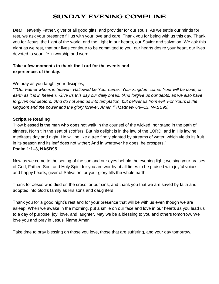# SUNDAY EVENING COMPLINE

Dear Heavenly Father, giver of all good gifts, and provider for our souls. As we settle our minds for rest, we ask your presence fill us with your love and care. Thank you for being with us this day. Thank you for Jesus, the Light of the world, and the Light in our hearts, our Savior and salvation. We ask this night as we rest, that our lives continue to be committed to you, our hearts desire your heart, our lives devoted to your life in worship and word.

## **Take a few moments to thank the Lord for the events and experiences of the day.**

We pray as you taught your disciples,

*""'Our Father who is in heaven, Hallowed be Your name. 'Your kingdom come. Your will be done, on earth as it is in heaven. 'Give us this day our daily bread. 'And forgive us our debts, as we also have forgiven our debtors. 'And do not lead us into temptation, but deliver us from evil. For Yours is the kingdom and the power and the glory forever. Amen.'" (Matthew 6:9–13, NASB95)* 

#### **Scripture Reading**

"How blessed is the man who does not walk in the counsel of the wicked, nor stand in the path of sinners, Nor sit in the seat of scoffers! But his delight is in the law of the LORD, and in His law he meditates day and night. He will be like a tree firmly planted by streams of water, which yields its fruit in its season and its leaf does not wither; And in whatever he does, he prospers." **Psalm 1:1–3, NASB95**

Now as we come to the setting of the sun and our eyes behold the evening light; we sing your praises of God, Father, Son, and Holy Spirit for you are worthy at all times to be praised with joyful voices, and happy hearts, giver of Salvation for your glory fills the whole earth.

Thank for Jesus who died on the cross for our sins, and thank you that we are saved by faith and adopted into God's family as His sons and daughters.

Thank you for a good night's rest and for your presence that will be with us even though we are asleep. When we awake in the morning, put a smile on our face and love in our hearts as you lead us to a day of purpose, joy, love, and laughter. May we be a blessing to you and others tomorrow. We love you and pray in Jesus' Name Amen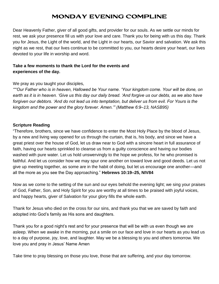# MONDAY EVENING COMPLINE

Dear Heavenly Father, giver of all good gifts, and provider for our souls. As we settle our minds for rest, we ask your presence fill us with your love and care. Thank you for being with us this day. Thank you for Jesus, the Light of the world, and the Light in our hearts, our Savior and salvation. We ask this night as we rest, that our lives continue to be committed to you, our hearts desire your heart, our lives devoted to your life in worship and word.

## **Take a few moments to thank the Lord for the events and experiences of the day.**

We pray as you taught your disciples,

*""'Our Father who is in heaven, Hallowed be Your name. 'Your kingdom come. Your will be done, on earth as it is in heaven. 'Give us this day our daily bread. 'And forgive us our debts, as we also have forgiven our debtors. 'And do not lead us into temptation, but deliver us from evil. For Yours is the kingdom and the power and the glory forever. Amen.'" (Matthew 6:9–13, NASB95)* 

#### **Scripture Reading**

"Therefore, brothers, since we have confidence to enter the Most Holy Place by the blood of Jesus, by a new and living way opened for us through the curtain, that is, his body, and since we have a great priest over the house of God, let us draw near to God with a sincere heart in full assurance of faith, having our hearts sprinkled to cleanse us from a guilty conscience and having our bodies washed with pure water. Let us hold unswervingly to the hope we profess, for he who promised is faithful. And let us consider how we may spur one another on toward love and good deeds. Let us not give up meeting together, as some are in the habit of doing, but let us encourage one another—and all the more as you see the Day approaching." **Hebrews 10:19–25, NIV84** 

Now as we come to the setting of the sun and our eyes behold the evening light; we sing your praises of God, Father, Son, and Holy Spirit for you are worthy at all times to be praised with joyful voices, and happy hearts, giver of Salvation for your glory fills the whole earth.

Thank for Jesus who died on the cross for our sins, and thank you that we are saved by faith and adopted into God's family as His sons and daughters.

Thank you for a good night's rest and for your presence that will be with us even though we are asleep. When we awake in the morning, put a smile on our face and love in our hearts as you lead us to a day of purpose, joy, love, and laughter. May we be a blessing to you and others tomorrow. We love you and pray in Jesus' Name Amen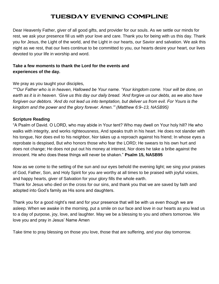# TUESDAY EVENING COMPLINE

Dear Heavenly Father, giver of all good gifts, and provider for our souls. As we settle our minds for rest, we ask your presence fill us with your love and care. Thank you for being with us this day. Thank you for Jesus, the Light of the world, and the Light in our hearts, our Savior and salvation. We ask this night as we rest, that our lives continue to be committed to you, our hearts desire your heart, our lives devoted to your life in worship and word.

## **Take a few moments to thank the Lord for the events and experiences of the day.**

We pray as you taught your disciples,

*""'Our Father who is in heaven, Hallowed be Your name. 'Your kingdom come. Your will be done, on earth as it is in heaven. 'Give us this day our daily bread. 'And forgive us our debts, as we also have forgiven our debtors. 'And do not lead us into temptation, but deliver us from evil. For Yours is the kingdom and the power and the glory forever. Amen.'" (Matthew 6:9–13, NASB95)* 

#### **Scripture Reading**

"A Psalm of David. O LORD, who may abide in Your tent? Who may dwell on Your holy hill? He who walks with integrity, and works righteousness, And speaks truth in his heart. He does not slander with his tongue, Nor does evil to his neighbor, Nor takes up a reproach against his friend; In whose eyes a reprobate is despised, But who honors those who fear the LORD; He swears to his own hurt and does not change; He does not put out his money at interest, Nor does he take a bribe against the innocent. He who does these things will never be shaken." **Psalm 15, NASB95** 

Now as we come to the setting of the sun and our eyes behold the evening light; we sing your praises of God, Father, Son, and Holy Spirit for you are worthy at all times to be praised with joyful voices, and happy hearts, giver of Salvation for your glory fills the whole earth.

Thank for Jesus who died on the cross for our sins, and thank you that we are saved by faith and adopted into God's family as His sons and daughters.

Thank you for a good night's rest and for your presence that will be with us even though we are asleep. When we awake in the morning, put a smile on our face and love in our hearts as you lead us to a day of purpose, joy, love, and laughter. May we be a blessing to you and others tomorrow. We love you and pray in Jesus' Name Amen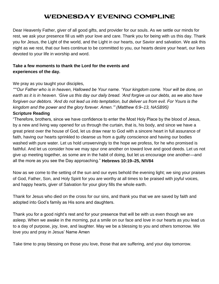# WEDNESDAY EVENING COMPLINE

Dear Heavenly Father, giver of all good gifts, and provider for our souls. As we settle our minds for rest, we ask your presence fill us with your love and care. Thank you for being with us this day. Thank you for Jesus, the Light of the world, and the Light in our hearts, our Savior and salvation. We ask this night as we rest, that our lives continue to be committed to you, our hearts desire your heart, our lives devoted to your life in worship and word.

## **Take a few moments to thank the Lord for the events and experiences of the day.**

We pray as you taught your disciples,

*""'Our Father who is in heaven, Hallowed be Your name. 'Your kingdom come. Your will be done, on*  earth as it is in heaven. 'Give us this day our daily bread. 'And forgive us our debts, as we also have *forgiven our debtors. 'And do not lead us into temptation, but deliver us from evil. For Yours is the kingdom and the power and the glory forever. Amen.'" (Matthew 6:9–13, NASB95)* 

#### **Scripture Reading**

"Therefore, brothers, since we have confidence to enter the Most Holy Place by the blood of Jesus, by a new and living way opened for us through the curtain, that is, his body, and since we have a great priest over the house of God, let us draw near to God with a sincere heart in full assurance of faith, having our hearts sprinkled to cleanse us from a guilty conscience and having our bodies washed with pure water. Let us hold unswervingly to the hope we profess, for he who promised is faithful. And let us consider how we may spur one another on toward love and good deeds. Let us not give up meeting together, as some are in the habit of doing, but let us encourage one another—and all the more as you see the Day approaching." **Hebrews 10:19–25, NIV84**

Now as we come to the setting of the sun and our eyes behold the evening light; we sing your praises of God, Father, Son, and Holy Spirit for you are worthy at all times to be praised with joyful voices, and happy hearts, giver of Salvation for your glory fills the whole earth.

Thank for Jesus who died on the cross for our sins, and thank you that we are saved by faith and adopted into God's family as His sons and daughters.

Thank you for a good night's rest and for your presence that will be with us even though we are asleep. When we awake in the morning, put a smile on our face and love in our hearts as you lead us to a day of purpose, joy, love, and laughter. May we be a blessing to you and others tomorrow. We love you and pray in Jesus' Name Amen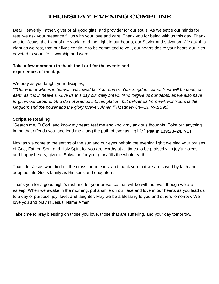# THURSDAY EVENING COMPLINE

Dear Heavenly Father, giver of all good gifts, and provider for our souls. As we settle our minds for rest, we ask your presence fill us with your love and care. Thank you for being with us this day. Thank you for Jesus, the Light of the world, and the Light in our hearts, our Savior and salvation. We ask this night as we rest, that our lives continue to be committed to you, our hearts desire your heart, our lives devoted to your life in worship and word.

## **Take a few moments to thank the Lord for the events and experiences of the day.**

We pray as you taught your disciples,

*""'Our Father who is in heaven, Hallowed be Your name. 'Your kingdom come. Your will be done, on earth as it is in heaven. 'Give us this day our daily bread. 'And forgive us our debts, as we also have forgiven our debtors. 'And do not lead us into temptation, but deliver us from evil. For Yours is the kingdom and the power and the glory forever. Amen.'" (Matthew 6:9–13, NASB95)* 

#### **Scripture Reading**

"Search me, O God, and know my heart; test me and know my anxious thoughts. Point out anything in me that offends you, and lead me along the path of everlasting life." **Psalm 139:23–24, NLT**

Now as we come to the setting of the sun and our eyes behold the evening light; we sing your praises of God, Father, Son, and Holy Spirit for you are worthy at all times to be praised with joyful voices, and happy hearts, giver of Salvation for your glory fills the whole earth.

Thank for Jesus who died on the cross for our sins, and thank you that we are saved by faith and adopted into God's family as His sons and daughters.

Thank you for a good night's rest and for your presence that will be with us even though we are asleep. When we awake in the morning, put a smile on our face and love in our hearts as you lead us to a day of purpose, joy, love, and laughter. May we be a blessing to you and others tomorrow. We love you and pray in Jesus' Name Amen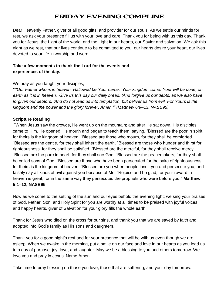# FRIDAY EVENING COMPLINE

Dear Heavenly Father, giver of all good gifts, and provider for our souls. As we settle our minds for rest, we ask your presence fill us with your love and care. Thank you for being with us this day. Thank you for Jesus, the Light of the world, and the Light in our hearts, our Savior and salvation. We ask this night as we rest, that our lives continue to be committed to you, our hearts desire your heart, our lives devoted to your life in worship and word.

## **Take a few moments to thank the Lord for the events and experiences of the day.**

We pray as you taught your disciples,

*""'Our Father who is in heaven, Hallowed be Your name. 'Your kingdom come. Your will be done, on earth as it is in heaven. 'Give us this day our daily bread. 'And forgive us our debts, as we also have forgiven our debtors. 'And do not lead us into temptation, but deliver us from evil. For Yours is the kingdom and the power and the glory forever. Amen.'" (Matthew 6:9–13, NASB95)* 

#### **Scripture Reading**

"When Jesus saw the crowds, He went up on the mountain; and after He sat down, His disciples came to Him. He opened His mouth and began to teach them, saying, "Blessed are the poor in spirit, for theirs is the kingdom of heaven. "Blessed are those who mourn, for they shall be comforted. "Blessed are the gentle, for they shall inherit the earth. "Blessed are those who hunger and thirst for righteousness, for they shall be satisfied. "Blessed are the merciful, for they shall receive mercy. "Blessed are the pure in heart, for they shall see God. "Blessed are the peacemakers, for they shall be called sons of God. "Blessed are those who have been persecuted for the sake of righteousness, for theirs is the kingdom of heaven. "Blessed are you when people insult you and persecute you, and falsely say all kinds of evil against you because of Me. "Rejoice and be glad, for your reward in heaven is great; for in the same way they persecuted the prophets who were before you." **Matthew 5:1–12, NASB95**

Now as we come to the setting of the sun and our eyes behold the evening light; we sing your praises of God, Father, Son, and Holy Spirit for you are worthy at all times to be praised with joyful voices, and happy hearts, giver of Salvation for your glory fills the whole earth.

Thank for Jesus who died on the cross for our sins, and thank you that we are saved by faith and adopted into God's family as His sons and daughters.

Thank you for a good night's rest and for your presence that will be with us even though we are asleep. When we awake in the morning, put a smile on our face and love in our hearts as you lead us to a day of purpose, joy, love, and laughter. May we be a blessing to you and others tomorrow. We love you and pray in Jesus' Name Amen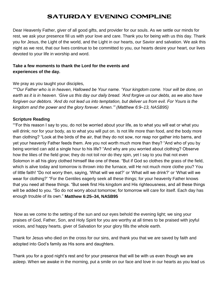# SATURDAY EVENING COMPLINE

Dear Heavenly Father, giver of all good gifts, and provider for our souls. As we settle our minds for rest, we ask your presence fill us with your love and care. Thank you for being with us this day. Thank you for Jesus, the Light of the world, and the Light in our hearts, our Savior and salvation. We ask this night as we rest, that our lives continue to be committed to you, our hearts desire your heart, our lives devoted to your life in worship and word.

## **Take a few moments to thank the Lord for the events and experiences of the day.**

We pray as you taught your disciples,

*""'Our Father who is in heaven, Hallowed be Your name. 'Your kingdom come. Your will be done, on earth as it is in heaven. 'Give us this day our daily bread. 'And forgive us our debts, as we also have forgiven our debtors. 'And do not lead us into temptation, but deliver us from evil. For Yours is the kingdom and the power and the glory forever. Amen.'" (Matthew 6:9–13, NASB95)* 

#### **Scripture Reading**

""For this reason I say to you, do not be worried about your life, as to what you will eat or what you will drink; nor for your body, as to what you will put on. Is not life more than food, and the body more than clothing? "Look at the birds of the air, that they do not sow, nor reap nor gather into barns, and yet your heavenly Father feeds them. Are you not worth much more than they? "And who of you by being worried can add a single hour to his life? "And why are you worried about clothing? Observe how the lilies of the field grow; they do not toil nor do they spin, yet I say to you that not even Solomon in all his glory clothed himself like one of these. "But if God so clothes the grass of the field, which is alive today and tomorrow is thrown into the furnace, will He not much more clothe you? You of little faith! "Do not worry then, saying, 'What will we eat?' or 'What will we drink?' or 'What will we wear for clothing?' "For the Gentiles eagerly seek all these things; for your heavenly Father knows that you need all these things. "But seek first His kingdom and His righteousness, and all these things will be added to you. "So do not worry about tomorrow; for tomorrow will care for itself. Each day has enough trouble of its own." **Matthew 6:25–34, NASB95**

Now as we come to the setting of the sun and our eyes behold the evening light; we sing your praises of God, Father, Son, and Holy Spirit for you are worthy at all times to be praised with joyful voices, and happy hearts, giver of Salvation for your glory fills the whole earth.

Thank for Jesus who died on the cross for our sins, and thank you that we are saved by faith and adopted into God's family as His sons and daughters.

Thank you for a good night's rest and for your presence that will be with us even though we are asleep. When we awake in the morning, put a smile on our face and love in our hearts as you lead us